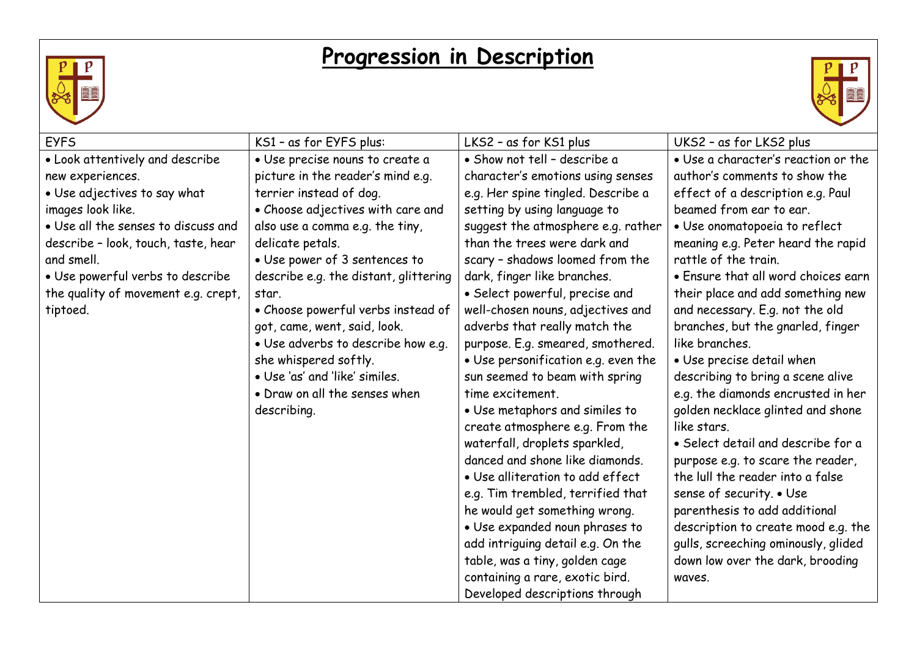

## **Progression in Description**



| <b>EYFS</b>                         | KS1 - as for EYFS plus:               | LKS2 - as for KS1 plus              | UKS2 - as for LKS2 plus             |
|-------------------------------------|---------------------------------------|-------------------------------------|-------------------------------------|
| • Look attentively and describe     | · Use precise nouns to create a       | · Show not tell - describe a        | • Use a character's reaction or the |
| new experiences.                    | picture in the reader's mind e.g.     | character's emotions using senses   | author's comments to show the       |
| • Use adjectives to say what        | terrier instead of dog.               | e.g. Her spine tingled. Describe a  | effect of a description e.g. Paul   |
| images look like.                   | • Choose adjectives with care and     | setting by using language to        | beamed from ear to ear.             |
| . Use all the senses to discuss and | also use a comma e.g. the tiny,       | suggest the atmosphere e.g. rather  | · Use onomatopoeia to reflect       |
| describe - look, touch, taste, hear | delicate petals.                      | than the trees were dark and        | meaning e.g. Peter heard the rapid  |
| and smell.                          | • Use power of 3 sentences to         | scary - shadows loomed from the     | rattle of the train.                |
| · Use powerful verbs to describe    | describe e.g. the distant, glittering | dark, finger like branches.         | • Ensure that all word choices earn |
| the quality of movement e.g. crept, | star.                                 | • Select powerful, precise and      | their place and add something new   |
| tiptoed.                            | • Choose powerful verbs instead of    | well-chosen nouns, adjectives and   | and necessary. E.g. not the old     |
|                                     | got, came, went, said, look.          | adverbs that really match the       | branches, but the gnarled, finger   |
|                                     | · Use adverbs to describe how e.g.    | purpose. E.g. smeared, smothered.   | like branches.                      |
|                                     | she whispered softly.                 | • Use personification e.g. even the | • Use precise detail when           |
|                                     | • Use 'as' and 'like' similes.        | sun seemed to beam with spring      | describing to bring a scene alive   |
|                                     | • Draw on all the senses when         | time excitement.                    | e.g. the diamonds encrusted in her  |
|                                     | describing.                           | • Use metaphors and similes to      | golden necklace glinted and shone   |
|                                     |                                       | create atmosphere e.g. From the     | like stars.                         |
|                                     |                                       | waterfall, droplets sparkled,       | • Select detail and describe for a  |
|                                     |                                       | danced and shone like diamonds.     | purpose e.g. to scare the reader,   |
|                                     |                                       | · Use alliteration to add effect    | the lull the reader into a false    |
|                                     |                                       | e.g. Tim trembled, terrified that   | sense of security. • Use            |
|                                     |                                       | he would get something wrong.       | parenthesis to add additional       |
|                                     |                                       | · Use expanded noun phrases to      | description to create mood e.g. the |
|                                     |                                       | add intriguing detail e.g. On the   | gulls, screeching ominously, glided |
|                                     |                                       | table, was a tiny, golden cage      | down low over the dark, brooding    |
|                                     |                                       | containing a rare, exotic bird.     | waves.                              |
|                                     |                                       | Developed descriptions through      |                                     |